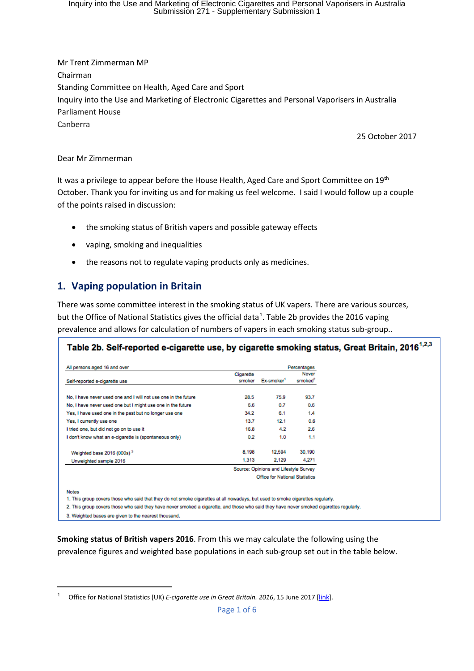Inquiry into the Use and Marketing of Electronic Cigarettes and Personal Vaporisers in Australia Submission 271 - Supplementary Submission 1

Mr Trent Zimmerman MP Chairman Standing Committee on Health, Aged Care and Sport Inquiry into the Use and Marketing of Electronic Cigarettes and Personal Vaporisers in Australia Parliament House Canberra

25 October 2017

#### Dear Mr Zimmerman

It was a privilege to appear before the House Health, Aged Care and Sport Committee on 19<sup>th</sup> October. Thank you for inviting us and for making us feel welcome. I said I would follow up a couple of the points raised in discussion:

- the smoking status of British vapers and possible gateway effects
- vaping, smoking and inequalities
- the reasons not to regulate vaping products only as medicines.

### **1. Vaping population in Britain**

There was some committee interest in the smoking status of UK vapers. There are various sources, but the Office of National Statistics gives the official data<sup>[1](#page-0-0)</sup>. Table 2b provides the 2016 vaping prevalence and allows for calculation of numbers of vapers in each smoking status sub-group..

| All persons aged 16 and over                                   | Percentages                    |                                       |        |  |
|----------------------------------------------------------------|--------------------------------|---------------------------------------|--------|--|
|                                                                | Cigarette                      |                                       | Never  |  |
| Self-reported e-cigarette use                                  | smoker                         | Ex-smoker <sup>1</sup>                | smoked |  |
| No. I have never used one and I will not use one in the future | 28.5                           | 75.9                                  | 93.7   |  |
| No, I have never used one but I might use one in the future    | 6.6                            | 0.7                                   | 0.6    |  |
| Yes, I have used one in the past but no longer use one         | 34.2                           | 6.1                                   | 1.4    |  |
| Yes, I currently use one                                       | 13.7                           | 12.1                                  | 0.6    |  |
| I tried one, but did not go on to use it                       | 16.8                           | 4.2                                   | 2.6    |  |
| I don't know what an e-cigarette is (spontaneous only)         | 0.2                            | 1.0                                   | 1.1    |  |
| Weighted base 2016 (000s) <sup>3</sup>                         | 8.198                          | 12,594                                | 30,190 |  |
| Unweighted sample 2016                                         | 1,313                          | 2,129                                 | 4.271  |  |
|                                                                |                                | Source: Opinions and Lifestyle Survey |        |  |
|                                                                | Office for National Statistics |                                       |        |  |

2. This group covers those who said they have never smoked a cigarette, and those who said they have never smoked cigarettes regularly.

3. Weighted bases are given to the nearest thousand.

**Smoking status of British vapers 2016**. From this we may calculate the following using the prevalence figures and weighted base populations in each sub-group set out in the table below.

<span id="page-0-0"></span><sup>&</sup>lt;sup>1</sup> Office for National Statistics (UK) *E-cigarette use in Great Britain. 2016*, 15 June 2017 [\[link\]](https://www.ons.gov.uk/peoplepopulationandcommunity/healthandsocialcare/drugusealcoholandsmoking/datasets/ecigaretteuseingreatbritain).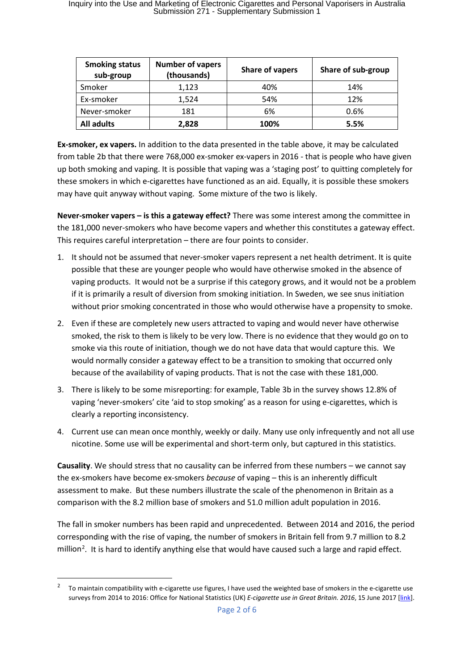| <b>Smoking status</b><br>sub-group | <b>Number of vapers</b><br>(thousands) | Share of vapers | Share of sub-group |
|------------------------------------|----------------------------------------|-----------------|--------------------|
| Smoker                             | 1,123                                  | 40%             | 14%                |
| Ex-smoker                          | 1,524                                  | 54%             | 12%                |
| Never-smoker                       | 181                                    | 6%              | 0.6%               |
| <b>All adults</b>                  | 2,828                                  | 100%            | 5.5%               |

**Ex-smoker, ex vapers.** In addition to the data presented in the table above, it may be calculated from table 2b that there were 768,000 ex-smoker ex-vapers in 2016 - that is people who have given up both smoking and vaping. It is possible that vaping was a 'staging post' to quitting completely for these smokers in which e-cigarettes have functioned as an aid. Equally, it is possible these smokers may have quit anyway without vaping. Some mixture of the two is likely.

**Never-smoker vapers – is this a gateway effect?** There was some interest among the committee in the 181,000 never-smokers who have become vapers and whether this constitutes a gateway effect. This requires careful interpretation – there are four points to consider.

- 1. It should not be assumed that never-smoker vapers represent a net health detriment. It is quite possible that these are younger people who would have otherwise smoked in the absence of vaping products. It would not be a surprise if this category grows, and it would not be a problem if it is primarily a result of diversion from smoking initiation. In Sweden, we see snus initiation without prior smoking concentrated in those who would otherwise have a propensity to smoke.
- 2. Even if these are completely new users attracted to vaping and would never have otherwise smoked, the risk to them is likely to be very low. There is no evidence that they would go on to smoke via this route of initiation, though we do not have data that would capture this. We would normally consider a gateway effect to be a transition to smoking that occurred only because of the availability of vaping products. That is not the case with these 181,000.
- 3. There is likely to be some misreporting: for example, Table 3b in the survey shows 12.8% of vaping 'never-smokers' cite 'aid to stop smoking' as a reason for using e-cigarettes, which is clearly a reporting inconsistency.
- 4. Current use can mean once monthly, weekly or daily. Many use only infrequently and not all use nicotine. Some use will be experimental and short-term only, but captured in this statistics.

**Causality**. We should stress that no causality can be inferred from these numbers – we cannot say the ex-smokers have become ex-smokers *because* of vaping – this is an inherently difficult assessment to make. But these numbers illustrate the scale of the phenomenon in Britain as a comparison with the 8.2 million base of smokers and 51.0 million adult population in 2016.

The fall in smoker numbers has been rapid and unprecedented. Between 2014 and 2016, the period corresponding with the rise of vaping, the number of smokers in Britain fell from 9.7 million to 8.2 million<sup>[2](#page-1-0)</sup>. It is hard to identify anything else that would have caused such a large and rapid effect.

<span id="page-1-0"></span> <sup>2</sup> To maintain compatibility with e-cigarette use figures, I have used the weighted base of smokers in the e-cigarette use surveys from 2014 to 2016: Office for National Statistics (UK) *E-cigarette use in Great Britain. 2016*, 15 June 2017 [\[link\]](https://www.ons.gov.uk/peoplepopulationandcommunity/healthandsocialcare/drugusealcoholandsmoking/datasets/ecigaretteuseingreatbritain).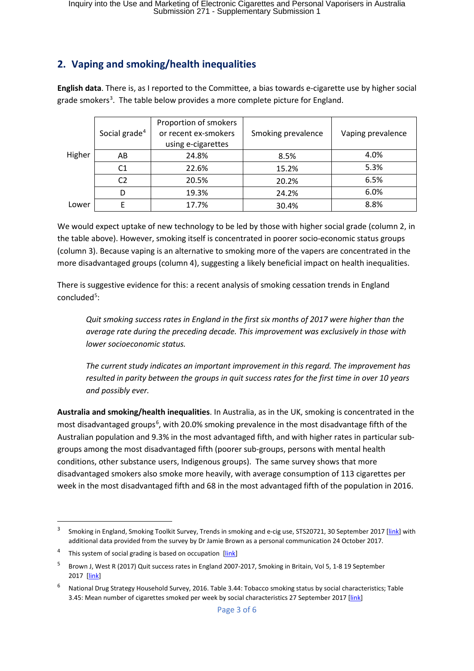# **2. Vaping and smoking/health inequalities**

**English data**. There is, as I reported to the Committee, a bias towards e-cigarette use by higher social grade smokers<sup>[3](#page-2-0)</sup>. The table below provides a more complete picture for England.

|        | Social grade <sup>4</sup> | Proportion of smokers<br>or recent ex-smokers<br>using e-cigarettes | Smoking prevalence | Vaping prevalence |
|--------|---------------------------|---------------------------------------------------------------------|--------------------|-------------------|
| Higher | AB                        | 24.8%                                                               | 8.5%               | 4.0%              |
|        | C1                        | 22.6%                                                               | 15.2%              | 5.3%              |
|        | C <sub>2</sub>            | 20.5%                                                               | 20.2%              | 6.5%              |
|        | D                         | 19.3%                                                               | 24.2%              | 6.0%              |
| Lower  |                           | 17.7%                                                               | 30.4%              | 8.8%              |

We would expect uptake of new technology to be led by those with higher social grade (column 2, in the table above). However, smoking itself is concentrated in poorer socio-economic status groups (column 3). Because vaping is an alternative to smoking more of the vapers are concentrated in the more disadvantaged groups (column 4), suggesting a likely beneficial impact on health inequalities.

There is suggestive evidence for this: a recent analysis of smoking cessation trends in England concluded<sup>[5](#page-2-2)</sup>:

*Quit smoking success rates in England in the first six months of 2017 were higher than the average rate during the preceding decade. This improvement was exclusively in those with lower socioeconomic status.*

*The current study indicates an important improvement in this regard. The improvement has resulted in parity between the groups in quit success rates for the first time in over 10 years and possibly ever.*

**Australia and smoking/health inequalities**. In Australia, as in the UK, smoking is concentrated in the most disadvantaged groups<sup>[6](#page-2-3)</sup>, with 20.0% smoking prevalence in the most disadvantage fifth of the Australian population and 9.3% in the most advantaged fifth, and with higher rates in particular subgroups among the most disadvantaged fifth (poorer sub-groups, persons with mental health conditions, other substance users, Indigenous groups). The same survey shows that more disadvantaged smokers also smoke more heavily, with average consumption of 113 cigarettes per week in the most disadvantaged fifth and 68 in the most advantaged fifth of the population in 2016.

<span id="page-2-0"></span><sup>&</sup>lt;sup>3</sup> Smoking in England, Smoking Toolkit Survey, Trends in smoking and e-cig use, STS20721, 30 September 2017 [\[link\]](http://www.smokinginengland.info/sts-documents/) with additional data provided from the survey by Dr Jamie Brown as a personal communication 24 October 2017.

<span id="page-2-1"></span>This system of social grading is based on occupation [\[link\]](https://en.wikipedia.org/wiki/NRS_social_grade)

<span id="page-2-2"></span><sup>5</sup> Brown J, West R (2017) Quit success rates in England 2007-2017, Smoking in Britain, Vol 5, 1-8 19 September 2017 [\[link\]](http://www.smokinginbritain.co.uk/read-paper/draft/8/Quit%20success%20rates%20in%20England%202007-2017)

<span id="page-2-3"></span><sup>6</sup> National Drug Strategy Household Survey, 2016. Table 3.44: Tobacco smoking status by social characteristics; Table 3.45: Mean number of cigarettes smoked per week by social characteristics 27 September 2017 [\[link\]](https://www.aihw.gov.au/reports/illicit-use-of-drugs/ndshs-2016-detailed/data)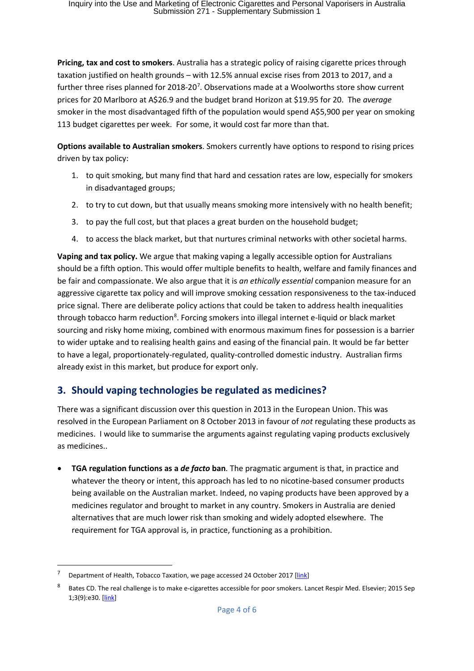**Pricing, tax and cost to smokers**. Australia has a strategic policy of raising cigarette prices through taxation justified on health grounds – with 12.5% annual excise rises from 2013 to 2017, and a further three rises planned for 2018-20<sup>[7](#page-3-0)</sup>. Observations made at a Woolworths store show current prices for 20 Marlboro at A\$26.9 and the budget brand Horizon at \$19.95 for 20. The *average* smoker in the most disadvantaged fifth of the population would spend A\$5,900 per year on smoking 113 budget cigarettes per week. For some, it would cost far more than that.

**Options available to Australian smokers**. Smokers currently have options to respond to rising prices driven by tax policy:

- 1. to quit smoking, but many find that hard and cessation rates are low, especially for smokers in disadvantaged groups;
- 2. to try to cut down, but that usually means smoking more intensively with no health benefit;
- 3. to pay the full cost, but that places a great burden on the household budget;
- 4. to access the black market, but that nurtures criminal networks with other societal harms.

**Vaping and tax policy.** We argue that making vaping a legally accessible option for Australians should be a fifth option. This would offer multiple benefits to health, welfare and family finances and be fair and compassionate. We also argue that it is *an ethically essential* companion measure for an aggressive cigarette tax policy and will improve smoking cessation responsiveness to the tax-induced price signal. There are deliberate policy actions that could be taken to address health inequalities through tobacco harm reduction<sup>8</sup>. Forcing smokers into illegal internet e-liquid or black market sourcing and risky home mixing, combined with enormous maximum fines for possession is a barrier to wider uptake and to realising health gains and easing of the financial pain. It would be far better to have a legal, proportionately-regulated, quality-controlled domestic industry. Australian firms already exist in this market, but produce for export only.

# **3. Should vaping technologies be regulated as medicines?**

There was a significant discussion over this question in 2013 in the European Union. This was resolved in the European Parliament on 8 October 2013 in favour of *not* regulating these products as medicines. I would like to summarise the arguments against regulating vaping products exclusively as medicines..

• **TGA regulation functions as a** *de facto* **ban**. The pragmatic argument is that, in practice and whatever the theory or intent, this approach has led to no nicotine-based consumer products being available on the Australian market. Indeed, no vaping products have been approved by a medicines regulator and brought to market in any country. Smokers in Australia are denied alternatives that are much lower risk than smoking and widely adopted elsewhere. The requirement for TGA approval is, in practice, functioning as a prohibition.

<span id="page-3-0"></span>Department of Health, Tobacco Taxation, we page accessed 24 October 2017 [\[link\]](http://www.health.gov.au/internet/main/publishing.nsf/content/tobacco-tax)

<span id="page-3-1"></span><sup>8</sup> Bates CD. The real challenge is to make e-cigarettes accessible for poor smokers. Lancet Respir Med. Elsevier; 2015 Sep 1;3(9):e30. [\[link\]](http://www.thelancet.com/journals/lanres/article/PIIS2213-2600(15)00334-3/fulltext)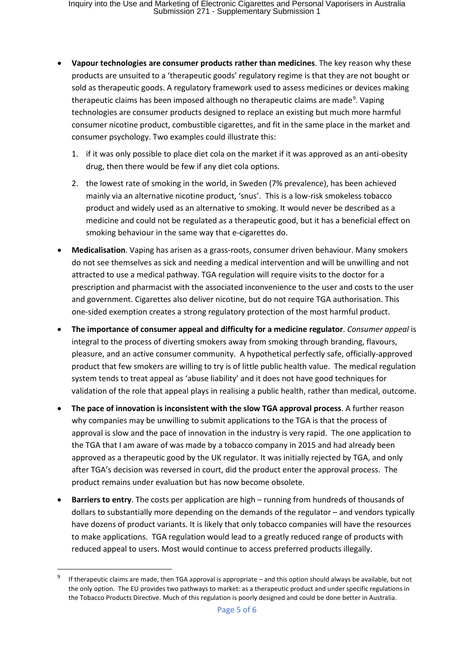- **Vapour technologies are consumer products rather than medicines**. The key reason why these products are unsuited to a 'therapeutic goods' regulatory regime is that they are not bought or sold as therapeutic goods. A regulatory framework used to assess medicines or devices making therapeutic claims has been imposed although no therapeutic claims are made<sup>[9](#page-4-0)</sup>. Vaping technologies are consumer products designed to replace an existing but much more harmful consumer nicotine product, combustible cigarettes, and fit in the same place in the market and consumer psychology. Two examples could illustrate this:
	- 1. if it was only possible to place diet cola on the market if it was approved as an anti-obesity drug, then there would be few if any diet cola options.
	- 2. the lowest rate of smoking in the world, in Sweden (7% prevalence), has been achieved mainly via an alternative nicotine product, 'snus'. This is a low-risk smokeless tobacco product and widely used as an alternative to smoking. It would never be described as a medicine and could not be regulated as a therapeutic good, but it has a beneficial effect on smoking behaviour in the same way that e-cigarettes do.
- **Medicalisation**. Vaping has arisen as a grass-roots, consumer driven behaviour. Many smokers do not see themselves as sick and needing a medical intervention and will be unwilling and not attracted to use a medical pathway. TGA regulation will require visits to the doctor for a prescription and pharmacist with the associated inconvenience to the user and costs to the user and government. Cigarettes also deliver nicotine, but do not require TGA authorisation. This one-sided exemption creates a strong regulatory protection of the most harmful product.
- **The importance of consumer appeal and difficulty for a medicine regulator**. *Consumer appeal* is integral to the process of diverting smokers away from smoking through branding, flavours, pleasure, and an active consumer community. A hypothetical perfectly safe, officially-approved product that few smokers are willing to try is of little public health value. The medical regulation system tends to treat appeal as 'abuse liability' and it does not have good techniques for validation of the role that appeal plays in realising a public health, rather than medical, outcome.
- **The pace of innovation is inconsistent with the slow TGA approval process**. A further reason why companies may be unwilling to submit applications to the TGA is that the process of approval is slow and the pace of innovation in the industry is very rapid. The one application to the TGA that I am aware of was made by a tobacco company in 2015 and had already been approved as a therapeutic good by the UK regulator. It was initially rejected by TGA, and only after TGA's decision was reversed in court, did the product enter the approval process. The product remains under evaluation but has now become obsolete.
- **Barriers to entry**. The costs per application are high running from hundreds of thousands of dollars to substantially more depending on the demands of the regulator – and vendors typically have dozens of product variants. It is likely that only tobacco companies will have the resources to make applications. TGA regulation would lead to a greatly reduced range of products with reduced appeal to users. Most would continue to access preferred products illegally.

<span id="page-4-0"></span> <sup>9</sup> If therapeutic claims are made, then TGA approval is appropriate – and this option should always be available, but not the only option. The EU provides two pathways to market: as a therapeutic product and under specific regulations in the Tobacco Products Directive. Much of this regulation is poorly designed and could be done better in Australia.